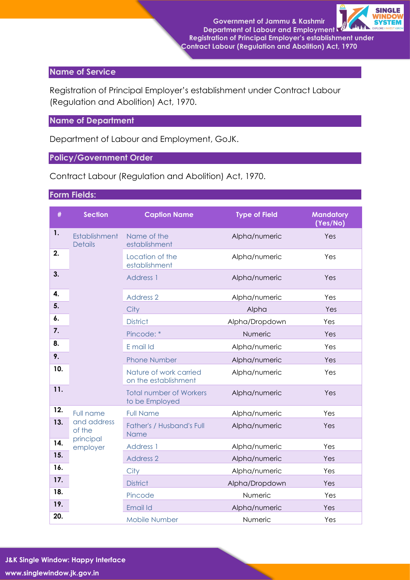

## **Name of Service**

Registration of Principal Employer's establishment under Contract Labour (Regulation and Abolition) Act, 1970.

## **Name of Department**

Department of Labour and Employment, GoJK.

### **Policy/Government Order**

Contract Labour (Regulation and Abolition) Act, 1970.

## **Form Fields:**

| #   | <b>Section</b>                                              | <b>Caption Name</b>                              | <b>Type of Field</b> | <b>Mandatory</b><br>(Yes/No) |
|-----|-------------------------------------------------------------|--------------------------------------------------|----------------------|------------------------------|
| 1.  | Establishment<br><b>Details</b>                             | Name of the<br>establishment                     | Alpha/numeric        | Yes                          |
| 2.  |                                                             | Location of the<br>establishment                 | Alpha/numeric        | Yes                          |
| 3.  |                                                             | <b>Address 1</b>                                 | Alpha/numeric        | Yes                          |
| 4.  |                                                             | <b>Address 2</b>                                 | Alpha/numeric        | Yes                          |
| 5.  |                                                             | City                                             | Alpha                | Yes                          |
| 6.  |                                                             | <b>District</b>                                  | Alpha/Dropdown       | Yes                          |
| 7.  |                                                             | Pincode: *                                       | Numeric              | Yes                          |
| 8.  |                                                             | E mail Id                                        | Alpha/numeric        | Yes                          |
| 9.  |                                                             | <b>Phone Number</b>                              | Alpha/numeric        | Yes                          |
| 10. |                                                             | Nature of work carried<br>on the establishment   | Alpha/numeric        | Yes                          |
| 11. |                                                             | <b>Total number of Workers</b><br>to be Employed | Alpha/numeric        | Yes                          |
| 12. | Full name<br>and address<br>of the<br>principal<br>employer | <b>Full Name</b>                                 | Alpha/numeric        | Yes                          |
| 13. |                                                             | Father's / Husband's Full<br><b>Name</b>         | Alpha/numeric        | Yes                          |
| 14. |                                                             | <b>Address 1</b>                                 | Alpha/numeric        | Yes                          |
| 15. |                                                             | <b>Address 2</b>                                 | Alpha/numeric        | Yes                          |
| 16. |                                                             | City                                             | Alpha/numeric        | Yes                          |
| 17. |                                                             | <b>District</b>                                  | Alpha/Dropdown       | Yes                          |
| 18. |                                                             | Pincode                                          | Numeric              | Yes                          |
| 19. |                                                             | Email Id                                         | Alpha/numeric        | Yes                          |
| 20. |                                                             | <b>Mobile Number</b>                             | Numeric              | Yes                          |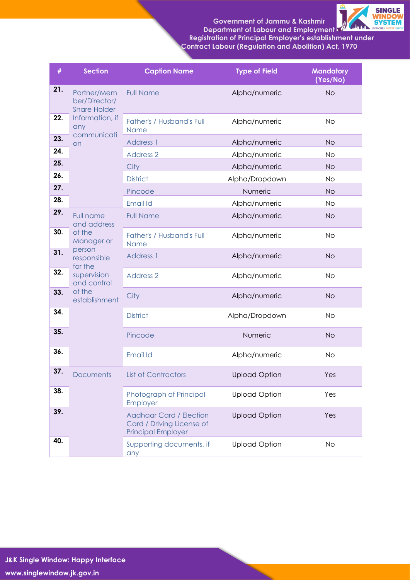# **Government of Jammu & Kashmir**



**Department of Labour and Employment Registration of Principal Employer's establishment under Contract Labour (Regulation and Abolition) Act, 1970**

| #   | <b>Section</b>                                                                                                                                       | <b>Caption Name</b>                                                                      | <b>Type of Field</b> | <b>Mandatory</b><br>(Yes/No) |
|-----|------------------------------------------------------------------------------------------------------------------------------------------------------|------------------------------------------------------------------------------------------|----------------------|------------------------------|
| 21. | Partner/Mem<br>ber/Director/<br><b>Share Holder</b><br>Information, if<br>any<br>communicati<br>on                                                   | <b>Full Name</b>                                                                         | Alpha/numeric        | <b>No</b>                    |
| 22. |                                                                                                                                                      | Father's / Husband's Full<br>Name                                                        | Alpha/numeric        | <b>No</b>                    |
| 23. |                                                                                                                                                      | Address 1                                                                                | Alpha/numeric        | <b>No</b>                    |
| 24. |                                                                                                                                                      | <b>Address 2</b>                                                                         | Alpha/numeric        | <b>No</b>                    |
| 25. |                                                                                                                                                      | City                                                                                     | Alpha/numeric        | <b>No</b>                    |
| 26. |                                                                                                                                                      | <b>District</b>                                                                          | Alpha/Dropdown       | <b>No</b>                    |
| 27. |                                                                                                                                                      | Pincode                                                                                  | Numeric              | <b>No</b>                    |
| 28. |                                                                                                                                                      | Email Id                                                                                 | Alpha/numeric        | <b>No</b>                    |
| 29. | <b>Full name</b><br>and address<br>of the<br>Manager or<br>person<br>responsible<br>for the<br>supervision<br>and control<br>of the<br>establishment | <b>Full Name</b>                                                                         | Alpha/numeric        | <b>No</b>                    |
| 30. |                                                                                                                                                      | Father's / Husband's Full<br>Name                                                        | Alpha/numeric        | <b>No</b>                    |
| 31. |                                                                                                                                                      | <b>Address 1</b>                                                                         | Alpha/numeric        | <b>No</b>                    |
| 32. |                                                                                                                                                      | <b>Address 2</b>                                                                         | Alpha/numeric        | <b>No</b>                    |
| 33. |                                                                                                                                                      | City                                                                                     | Alpha/numeric        | <b>No</b>                    |
| 34. |                                                                                                                                                      | <b>District</b>                                                                          | Alpha/Dropdown       | <b>No</b>                    |
| 35. |                                                                                                                                                      | Pincode                                                                                  | Numeric              | <b>No</b>                    |
| 36. |                                                                                                                                                      | Email Id                                                                                 | Alpha/numeric        | <b>No</b>                    |
| 37. | <b>Documents</b>                                                                                                                                     | <b>List of Contractors</b>                                                               | <b>Upload Option</b> | Yes                          |
| 38. |                                                                                                                                                      | Photograph of Principal<br>Employer                                                      | <b>Upload Option</b> | Yes                          |
| 39. |                                                                                                                                                      | <b>Aadhaar Card / Election</b><br>Card / Driving License of<br><b>Principal Employer</b> | <b>Upload Option</b> | Yes                          |
| 40. |                                                                                                                                                      | Supporting documents, if<br>any                                                          | <b>Upload Option</b> | <b>No</b>                    |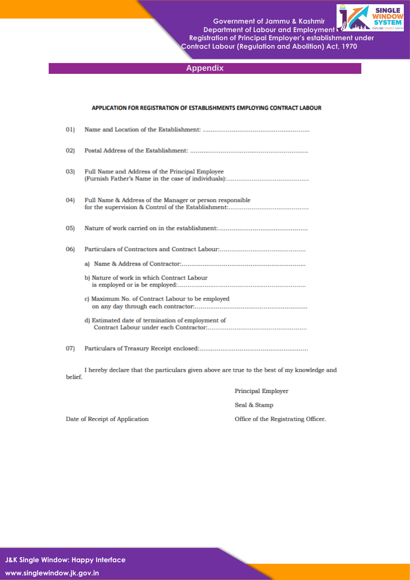**Government of Jammu & Kashmir** Department of Labour and Employment Registration of Principal Employer's establishment under

**Contract Labour (Regulation and Abolition) Act, 1970** 



**Appendix** 

#### APPLICATION FOR REGISTRATION OF ESTABLISHMENTS EMPLOYING CONTRACT LABOUR

| (01) |                                                          |
|------|----------------------------------------------------------|
| 02)  |                                                          |
| 03)  | Full Name and Address of the Principal Employee          |
| (04) | Full Name & Address of the Manager or person responsible |
| 05)  |                                                          |
| 06)  |                                                          |
|      |                                                          |
|      | b) Nature of work in which Contract Labour               |
|      | c) Maximum No. of Contract Labour to be employed         |
|      | d) Estimated date of termination of employment of        |
| 07)  |                                                          |

I hereby declare that the particulars given above are true to the best of my knowledge and belief.

**Principal Employer** 

Seal & Stamp

Date of Receipt of Application

Office of the Registrating Officer.